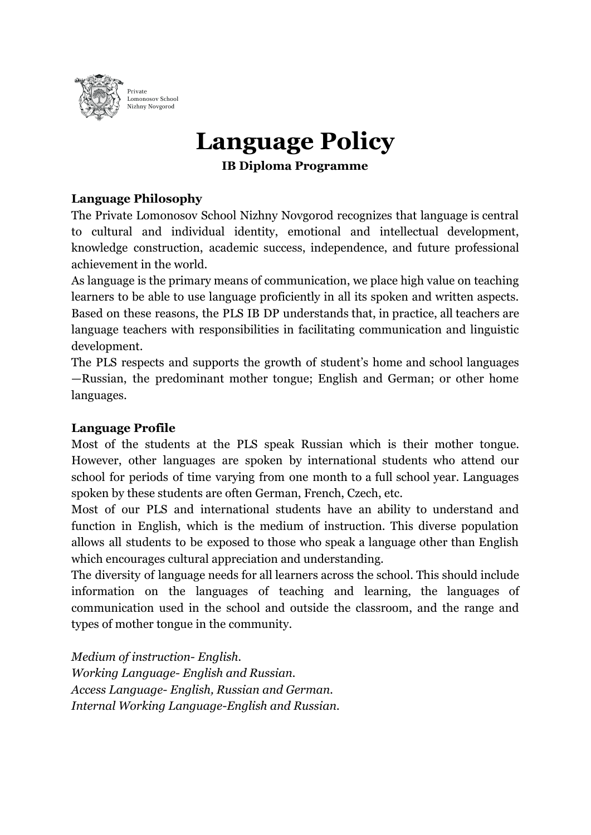

# **Language Policy**

**IB Diploma Programme**

### **Language Philosophy**

The Private Lomonosov School Nizhny Novgorod recognizes that language is central to cultural and individual identity, emotional and intellectual development, knowledge construction, academic success, independence, and future professional achievement in the world.

As language is the primary means of communication, we place high value on teaching learners to be able to use language proficiently in all its spoken and written aspects. Based on these reasons, the PLS IB DP understands that, in practice, all teachers are language teachers with responsibilities in facilitating communication and linguistic development.

The PLS respects and supports the growth of student's home and school languages —Russian, the predominant mother tongue; English and German; or other home languages.

#### **Language Profile**

Most of the students at the PLS speak Russian which is their mother tongue. However, other languages are spoken by international students who attend our school for periods of time varying from one month to a full school year. Languages spoken by these students are often German, French, Czech, etc.

Most of our PLS and international students have an ability to understand and function in English, which is the medium of instruction. This diverse population allows all students to be exposed to those who speak a language other than English which encourages cultural appreciation and understanding.

The diversity of language needs for all learners across the school. This should include information on the languages of teaching and learning, the languages of communication used in the school and outside the classroom, and the range and types of mother tongue in the community.

*Medium of instruction- English. Working Language- English and Russian. Access Language- English, Russian and German. Internal Working Language-English and Russian.*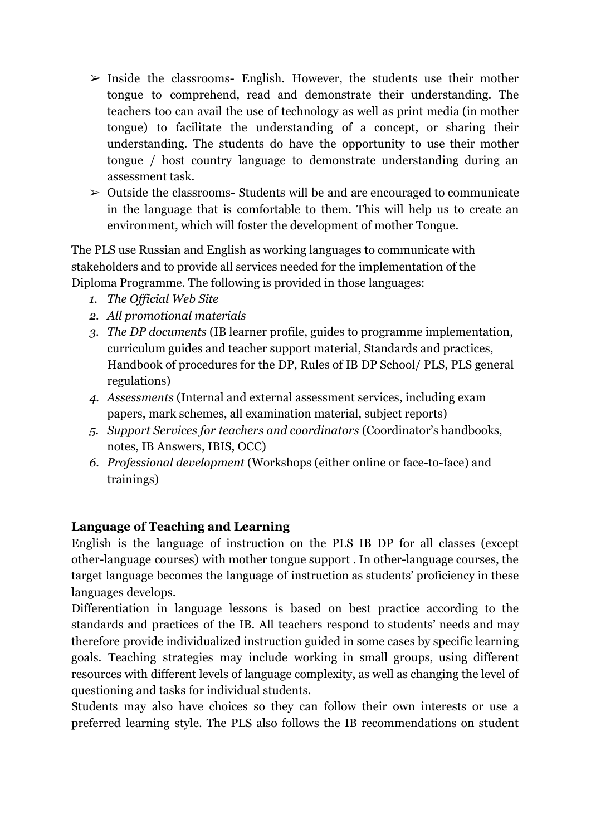- $\geq$  Inside the classrooms- English. However, the students use their mother tongue to comprehend, read and demonstrate their understanding. The teachers too can avail the use of technology as well as print media (in mother tongue) to facilitate the understanding of a concept, or sharing their understanding. The students do have the opportunity to use their mother tongue / host country language to demonstrate understanding during an assessment task.
- $\geq$  Outside the classrooms-Students will be and are encouraged to communicate in the language that is comfortable to them. This will help us to create an environment, which will foster the development of mother Tongue.

The PLS use Russian and English as working languages to communicate with stakeholders and to provide all services needed for the implementation of the Diploma Programme. The following is provided in those languages:

- *1. The Official Web Site*
- *2. All promotional materials*
- *3. The DP documents* (IB learner profile, guides to programme implementation, curriculum guides and teacher support material, Standards and practices, Handbook of procedures for the DP, Rules of IB DP School/ PLS, PLS general regulations)
- *4. Assessments* (Internal and external assessment services, including exam papers, mark schemes, all examination material, subject reports)
- *5. Support Services for teachers and coordinators* (Coordinator's handbooks, notes, IB Answers, IBIS, OCC)
- *6. Professional development* (Workshops (either online or face-to-face) and trainings)

#### **Language of Teaching and Learning**

English is the language of instruction on the PLS IB DP for all classes (except other-language courses) with mother tongue support . In other-language courses, the target language becomes the language of instruction as students' proficiency in these languages develops.

Differentiation in language lessons is based on best practice according to the standards and practices of the IB. All teachers respond to students' needs and may therefore provide individualized instruction guided in some cases by specific learning goals. Teaching strategies may include working in small groups, using different resources with different levels of language complexity, as well as changing the level of questioning and tasks for individual students.

Students may also have choices so they can follow their own interests or use a preferred learning style. The PLS also follows the IB recommendations on student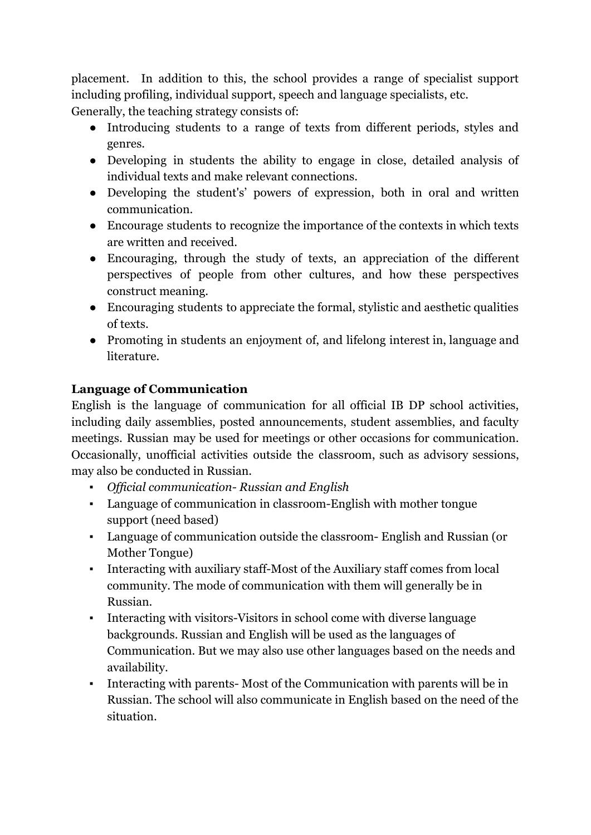placement. In addition to this, the school provides a range of specialist support including profiling, individual support, speech and language specialists, etc.

Generally, the teaching strategy consists of:

- Introducing students to a range of texts from different periods, styles and genres.
- Developing in students the ability to engage in close, detailed analysis of individual texts and make relevant connections.
- Developing the student's' powers of expression, both in oral and written communication.
- Encourage students to recognize the importance of the contexts in which texts are written and received.
- Encouraging, through the study of texts, an appreciation of the different perspectives of people from other cultures, and how these perspectives construct meaning.
- Encouraging students to appreciate the formal, stylistic and aesthetic qualities of texts.
- Promoting in students an enjoyment of, and lifelong interest in, language and literature.

# **Language of Communication**

English is the language of communication for all official IB DP school activities, including daily assemblies, posted announcements, student assemblies, and faculty meetings. Russian may be used for meetings or other occasions for communication. Occasionally, unofficial activities outside the classroom, such as advisory sessions, may also be conducted in Russian.

- **•** *Official communication-Russian and English*
- Language of communication in classroom-English with mother tongue support (need based)
- Language of communication outside the classroom- English and Russian (or Mother Tongue)
- Interacting with auxiliary staff-Most of the Auxiliary staff comes from local community. The mode of communication with them will generally be in Russian.
- Interacting with visitors-Visitors in school come with diverse language backgrounds. Russian and English will be used as the languages of Communication. But we may also use other languages based on the needs and availability.
- Interacting with parents- Most of the Communication with parents will be in Russian. The school will also communicate in English based on the need of the situation.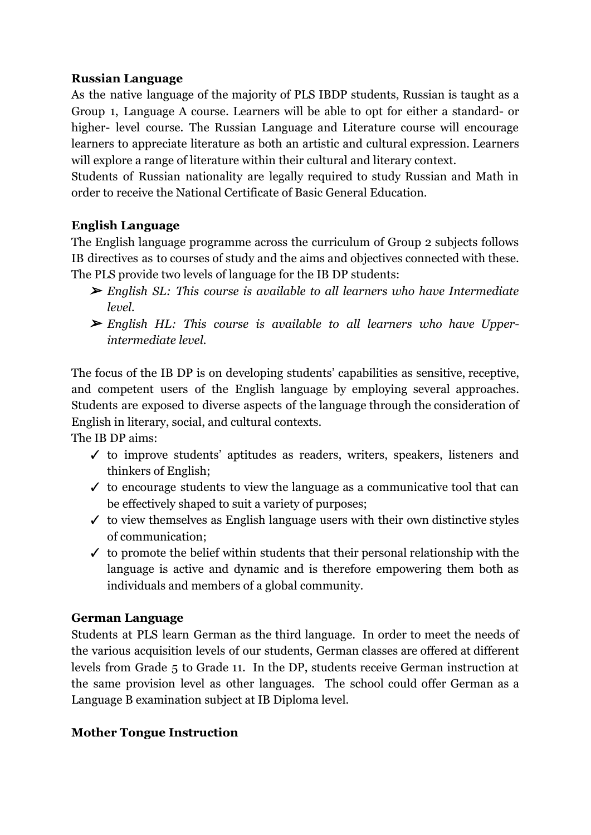#### **Russian Language**

As the native language of the majority of PLS IBDP students, Russian is taught as a Group 1, Language A course. Learners will be able to opt for either a standard- or higher- level course. The Russian Language and Literature course will encourage learners to appreciate literature as both an artistic and cultural expression. Learners will explore a range of literature within their cultural and literary context.

Students of Russian nationality are legally required to study Russian and Math in order to receive the National Certificate of Basic General Education.

# **English Language**

The English language programme across the curriculum of Group 2 subjects follows IB directives as to courses of study and the aims and objectives connected with these. The PLS provide two levels of language for the IB DP students:

- ➢ *English SL: This course is available to all learners who have Intermediate level.*
- ➢ *English HL: This course is available to all learners who have Upperintermediate level.*

The focus of the IB DP is on developing students' capabilities as sensitive, receptive, and competent users of the English language by employing several approaches. Students are exposed to diverse aspects of the language through the consideration of English in literary, social, and cultural contexts.

The IB DP aims:

- ✓ to improve students' aptitudes as readers, writers, speakers, listeners and thinkers of English;
- $\checkmark$  to encourage students to view the language as a communicative tool that can be effectively shaped to suit a variety of purposes;
- $\checkmark$  to view themselves as English language users with their own distinctive styles of communication;
- $\checkmark$  to promote the belief within students that their personal relationship with the language is active and dynamic and is therefore empowering them both as individuals and members of a global community.

# **German Language**

Students at PLS learn German as the third language. In order to meet the needs of the various acquisition levels of our students, German classes are offered at different levels from Grade 5 to Grade 11. In the DP, students receive German instruction at the same provision level as other languages. The school could offer German as a Language B examination subject at IB Diploma level.

# **Mother Tongue Instruction**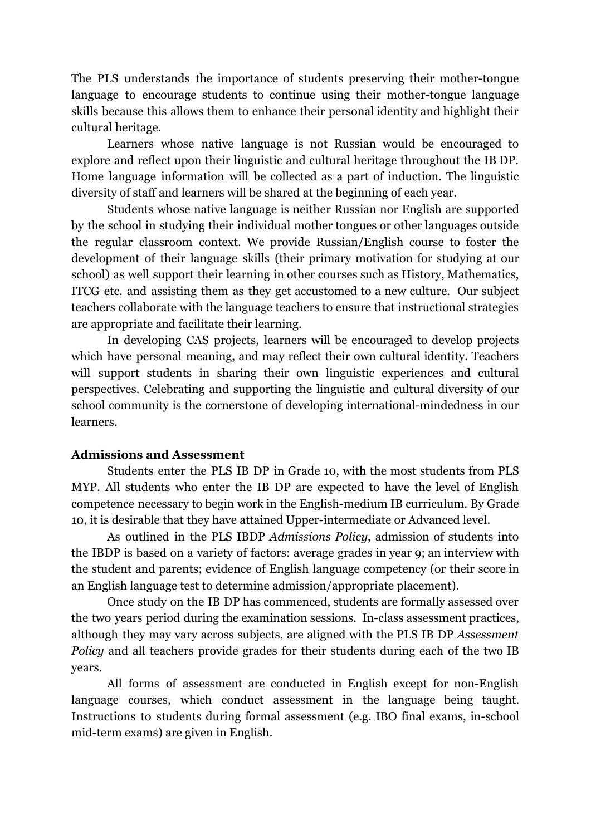The PLS understands the importance of students preserving their mother-tongue language to encourage students to continue using their mother-tongue language skills because this allows them to enhance their personal identity and highlight their cultural heritage.

Learners whose native language is not Russian would be encouraged to explore and reflect upon their linguistic and cultural heritage throughout the IB DP. Home language information will be collected as a part of induction. The linguistic diversity of staff and learners will be shared at the beginning of each year.

Students whose native language is neither Russian nor English are supported by the school in studying their individual mother tongues or other languages outside the regular classroom context. We provide Russian/English course to foster the development of their language skills (their primary motivation for studying at our school) as well support their learning in other courses such as History, Mathematics, ITCG etc. and assisting them as they get accustomed to a new culture. Our subject teachers collaborate with the language teachers to ensure that instructional strategies are appropriate and facilitate their learning.

In developing CAS projects, learners will be encouraged to develop projects which have personal meaning, and may reflect their own cultural identity. Teachers will support students in sharing their own linguistic experiences and cultural perspectives. Celebrating and supporting the linguistic and cultural diversity of our school community is the cornerstone of developing international-mindedness in our learners.

#### **Admissions and Assessment**

Students enter the PLS IB DP in Grade 10, with the most students from PLS MYP. All students who enter the IB DP are expected to have the level of English competence necessary to begin work in the English-medium IB curriculum. By Grade 10, it is desirable that they have attained Upper-intermediate or Advanced level.

As outlined in the PLS IBDP *Admissions Policy*, admission of students into the IBDP is based on a variety of factors: average grades in year 9; an interview with the student and parents; evidence of English language competency (or their score in an English language test to determine admission/appropriate placement).

Once study on the IB DP has commenced, students are formally assessed over the two years period during the examination sessions. In-class assessment practices, although they may vary across subjects, are aligned with the PLS IB DP *Assessment Policy* and all teachers provide grades for their students during each of the two IB years.

All forms of assessment are conducted in English except for non-English language courses, which conduct assessment in the language being taught. Instructions to students during formal assessment (e.g. IBO final exams, in-school mid-term exams) are given in English.